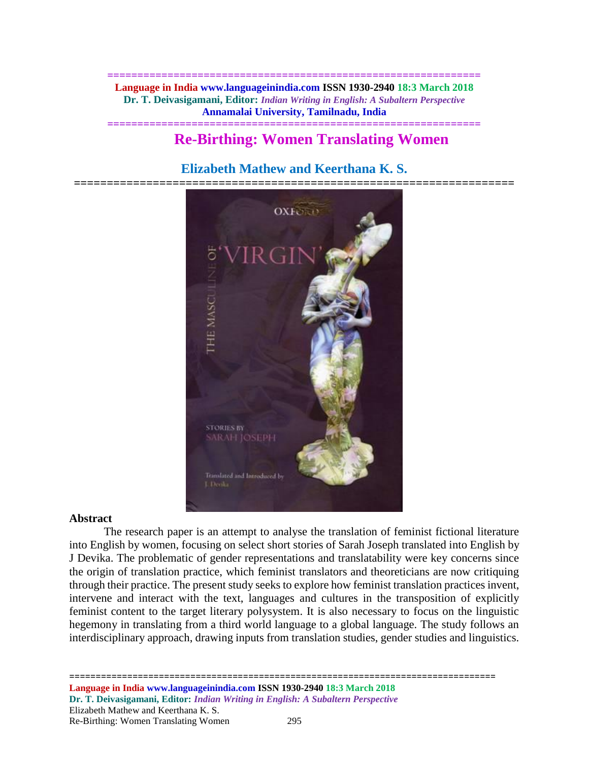**============================================================== Language in India www.languageinindia.com ISSN 1930-2940 18:3 March 2018 Dr. T. Deivasigamani, Editor:** *Indian Writing in English: A Subaltern Perspective* **Annamalai University, Tamilnadu, India**

**==============================================================**

# **Re-Birthing: Women Translating Women**

## **Elizabeth Mathew and Keerthana K. S.**

**===================================================================**



### **Abstract**

The research paper is an attempt to analyse the translation of feminist fictional literature into English by women, focusing on select short stories of Sarah Joseph translated into English by J Devika. The problematic of gender representations and translatability were key concerns since the origin of translation practice, which feminist translators and theoreticians are now critiquing through their practice. The present study seeks to explore how feminist translation practices invent, intervene and interact with the text, languages and cultures in the transposition of explicitly feminist content to the target literary polysystem. It is also necessary to focus on the linguistic hegemony in translating from a third world language to a global language. The study follows an interdisciplinary approach, drawing inputs from translation studies, gender studies and linguistics.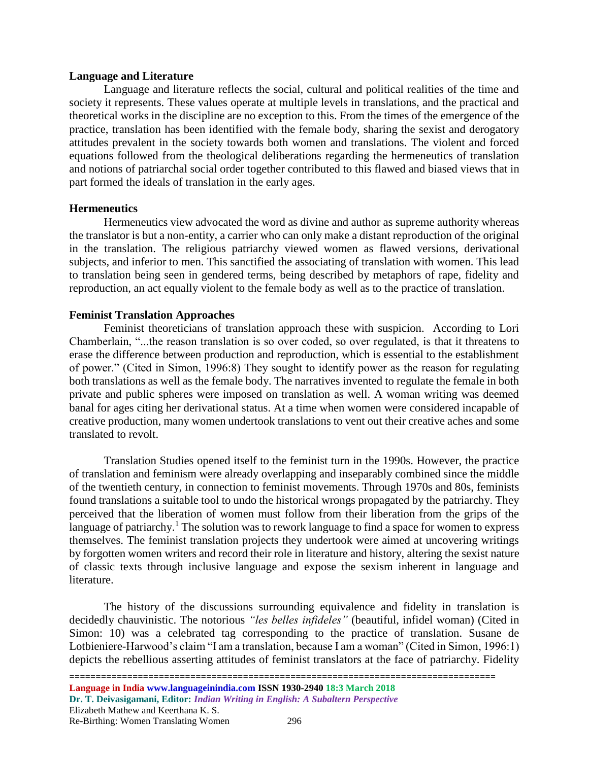### **Language and Literature**

Language and literature reflects the social, cultural and political realities of the time and society it represents. These values operate at multiple levels in translations, and the practical and theoretical works in the discipline are no exception to this. From the times of the emergence of the practice, translation has been identified with the female body, sharing the sexist and derogatory attitudes prevalent in the society towards both women and translations. The violent and forced equations followed from the theological deliberations regarding the hermeneutics of translation and notions of patriarchal social order together contributed to this flawed and biased views that in part formed the ideals of translation in the early ages.

### **Hermeneutics**

Hermeneutics view advocated the word as divine and author as supreme authority whereas the translator is but a non-entity, a carrier who can only make a distant reproduction of the original in the translation. The religious patriarchy viewed women as flawed versions, derivational subjects, and inferior to men. This sanctified the associating of translation with women. This lead to translation being seen in gendered terms, being described by metaphors of rape, fidelity and reproduction, an act equally violent to the female body as well as to the practice of translation.

### **Feminist Translation Approaches**

Feminist theoreticians of translation approach these with suspicion. According to Lori Chamberlain, "...the reason translation is so over coded, so over regulated, is that it threatens to erase the difference between production and reproduction, which is essential to the establishment of power." (Cited in Simon, 1996:8) They sought to identify power as the reason for regulating both translations as well as the female body. The narratives invented to regulate the female in both private and public spheres were imposed on translation as well. A woman writing was deemed banal for ages citing her derivational status. At a time when women were considered incapable of creative production, many women undertook translations to vent out their creative aches and some translated to revolt.

Translation Studies opened itself to the feminist turn in the 1990s. However, the practice of translation and feminism were already overlapping and inseparably combined since the middle of the twentieth century, in connection to feminist movements. Through 1970s and 80s, feminists found translations a suitable tool to undo the historical wrongs propagated by the patriarchy. They perceived that the liberation of women must follow from their liberation from the grips of the language of patriarchy.<sup>1</sup> The solution was to rework language to find a space for women to express themselves. The feminist translation projects they undertook were aimed at uncovering writings by forgotten women writers and record their role in literature and history, altering the sexist nature of classic texts through inclusive language and expose the sexism inherent in language and literature.

The history of the discussions surrounding equivalence and fidelity in translation is decidedly chauvinistic. The notorious *"les belles infideles"* (beautiful, infidel woman) (Cited in Simon: 10) was a celebrated tag corresponding to the practice of translation. Susane de Lotbieniere-Harwood's claim "I am a translation, because I am a woman" (Cited in Simon, 1996:1) depicts the rebellious asserting attitudes of feminist translators at the face of patriarchy. Fidelity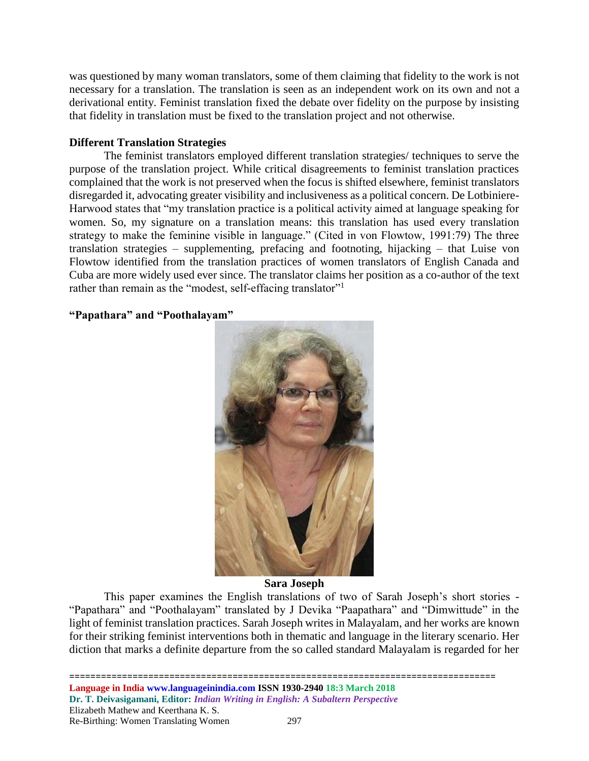was questioned by many woman translators, some of them claiming that fidelity to the work is not necessary for a translation. The translation is seen as an independent work on its own and not a derivational entity. Feminist translation fixed the debate over fidelity on the purpose by insisting that fidelity in translation must be fixed to the translation project and not otherwise.

### **Different Translation Strategies**

The feminist translators employed different translation strategies/ techniques to serve the purpose of the translation project. While critical disagreements to feminist translation practices complained that the work is not preserved when the focus is shifted elsewhere, feminist translators disregarded it, advocating greater visibility and inclusiveness as a political concern. De Lotbiniere-Harwood states that "my translation practice is a political activity aimed at language speaking for women. So, my signature on a translation means: this translation has used every translation strategy to make the feminine visible in language." (Cited in von Flowtow, 1991:79) The three translation strategies – supplementing, prefacing and footnoting, hijacking – that Luise von Flowtow identified from the translation practices of women translators of English Canada and Cuba are more widely used ever since. The translator claims her position as a co-author of the text rather than remain as the "modest, self-effacing translator"<sup>1</sup>

### **"Papathara" and "Poothalayam"**



### **Sara Joseph**

This paper examines the English translations of two of Sarah Joseph's short stories - "Papathara" and "Poothalayam" translated by J Devika "Paapathara" and "Dimwittude" in the light of feminist translation practices. Sarah Joseph writes in Malayalam, and her works are known for their striking feminist interventions both in thematic and language in the literary scenario. Her diction that marks a definite departure from the so called standard Malayalam is regarded for her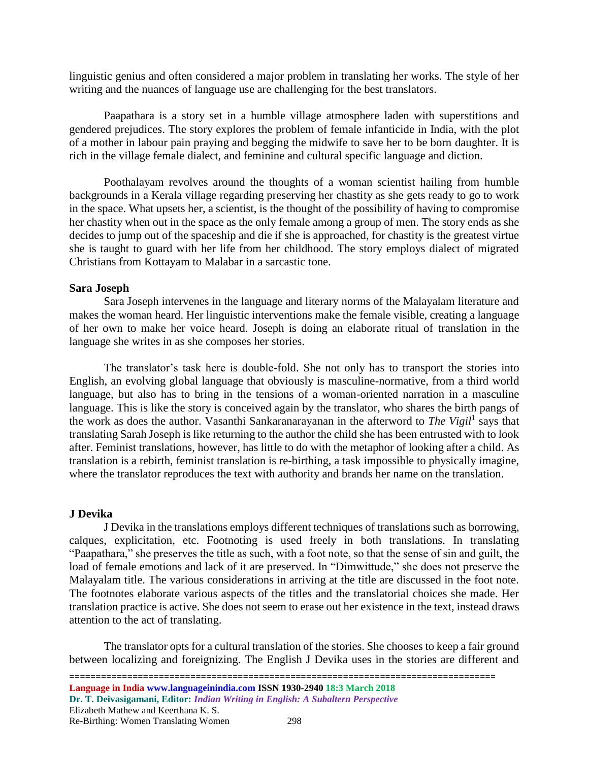linguistic genius and often considered a major problem in translating her works. The style of her writing and the nuances of language use are challenging for the best translators.

Paapathara is a story set in a humble village atmosphere laden with superstitions and gendered prejudices. The story explores the problem of female infanticide in India, with the plot of a mother in labour pain praying and begging the midwife to save her to be born daughter. It is rich in the village female dialect, and feminine and cultural specific language and diction.

Poothalayam revolves around the thoughts of a woman scientist hailing from humble backgrounds in a Kerala village regarding preserving her chastity as she gets ready to go to work in the space. What upsets her, a scientist, is the thought of the possibility of having to compromise her chastity when out in the space as the only female among a group of men. The story ends as she decides to jump out of the spaceship and die if she is approached, for chastity is the greatest virtue she is taught to guard with her life from her childhood. The story employs dialect of migrated Christians from Kottayam to Malabar in a sarcastic tone.

#### **Sara Joseph**

Sara Joseph intervenes in the language and literary norms of the Malayalam literature and makes the woman heard. Her linguistic interventions make the female visible, creating a language of her own to make her voice heard. Joseph is doing an elaborate ritual of translation in the language she writes in as she composes her stories.

The translator's task here is double-fold. She not only has to transport the stories into English, an evolving global language that obviously is masculine-normative, from a third world language, but also has to bring in the tensions of a woman-oriented narration in a masculine language. This is like the story is conceived again by the translator, who shares the birth pangs of the work as does the author. Vasanthi Sankaranarayanan in the afterword to *The Vigil*<sup>1</sup> says that translating Sarah Joseph is like returning to the author the child she has been entrusted with to look after. Feminist translations, however, has little to do with the metaphor of looking after a child. As translation is a rebirth, feminist translation is re-birthing, a task impossible to physically imagine, where the translator reproduces the text with authority and brands her name on the translation.

### **J Devika**

J Devika in the translations employs different techniques of translations such as borrowing, calques, explicitation, etc. Footnoting is used freely in both translations. In translating "Paapathara," she preserves the title as such, with a foot note, so that the sense of sin and guilt, the load of female emotions and lack of it are preserved. In "Dimwittude," she does not preserve the Malayalam title. The various considerations in arriving at the title are discussed in the foot note. The footnotes elaborate various aspects of the titles and the translatorial choices she made. Her translation practice is active. She does not seem to erase out her existence in the text, instead draws attention to the act of translating.

The translator opts for a cultural translation of the stories. She chooses to keep a fair ground between localizing and foreignizing. The English J Devika uses in the stories are different and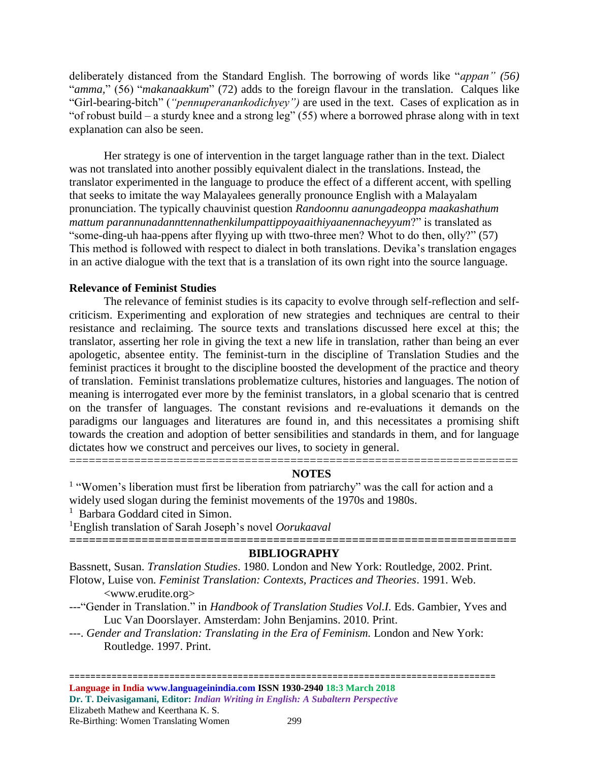deliberately distanced from the Standard English. The borrowing of words like "*appan" (56)* "*amma,*" (56) "*makanaakkum*" (72) adds to the foreign flavour in the translation. Calques like "Girl-bearing-bitch" (*"pennuperanankodichyey")* are used in the text. Cases of explication as in "of robust build – a sturdy knee and a strong leg"  $(55)$  where a borrowed phrase along with in text explanation can also be seen.

Her strategy is one of intervention in the target language rather than in the text. Dialect was not translated into another possibly equivalent dialect in the translations. Instead, the translator experimented in the language to produce the effect of a different accent, with spelling that seeks to imitate the way Malayalees generally pronounce English with a Malayalam pronunciation. The typically chauvinist question *Randoonnu aanungadeoppa maakashathum mattum parannunadannttennathenkilumpattippoyaaithiyaanennacheyyum*?" is translated as "some-ding-uh haa-ppens after flyying up with ttwo-three men? Whot to do then, olly?" (57) This method is followed with respect to dialect in both translations. Devika's translation engages in an active dialogue with the text that is a translation of its own right into the source language.

### **Relevance of Feminist Studies**

The relevance of feminist studies is its capacity to evolve through self-reflection and selfcriticism. Experimenting and exploration of new strategies and techniques are central to their resistance and reclaiming. The source texts and translations discussed here excel at this; the translator, asserting her role in giving the text a new life in translation, rather than being an ever apologetic, absentee entity. The feminist-turn in the discipline of Translation Studies and the feminist practices it brought to the discipline boosted the development of the practice and theory of translation. Feminist translations problematize cultures, histories and languages. The notion of meaning is interrogated ever more by the feminist translators, in a global scenario that is centred on the transfer of languages. The constant revisions and re-evaluations it demands on the paradigms our languages and literatures are found in, and this necessitates a promising shift towards the creation and adoption of better sensibilities and standards in them, and for language dictates how we construct and perceives our lives, to society in general.

#### **NOTES**

<sup>1</sup> "Women's liberation must first be liberation from patriarchy" was the call for action and a widely used slogan during the feminist movements of the 1970s and 1980s.

=====================================================================

<sup>1</sup> Barbara Goddard cited in Simon.

<sup>1</sup>English translation of Sarah Joseph's novel *Oorukaaval* **====================================================================**

#### **BIBLIOGRAPHY**

Bassnett, Susan. *Translation Studies*. 1980. London and New York: Routledge, 2002. Print. Flotow, Luise von*. Feminist Translation: Contexts, Practices and Theories*. 1991. Web.

<www.erudite.org>

- ---"Gender in Translation." in *Handbook of Translation Studies Vol.I.* Eds. Gambier, Yves and Luc Van Doorslayer. Amsterdam: John Benjamins. 2010. Print.
- ---. *Gender and Translation: Translating in the Era of Feminism.* London and New York: Routledge. 1997. Print.